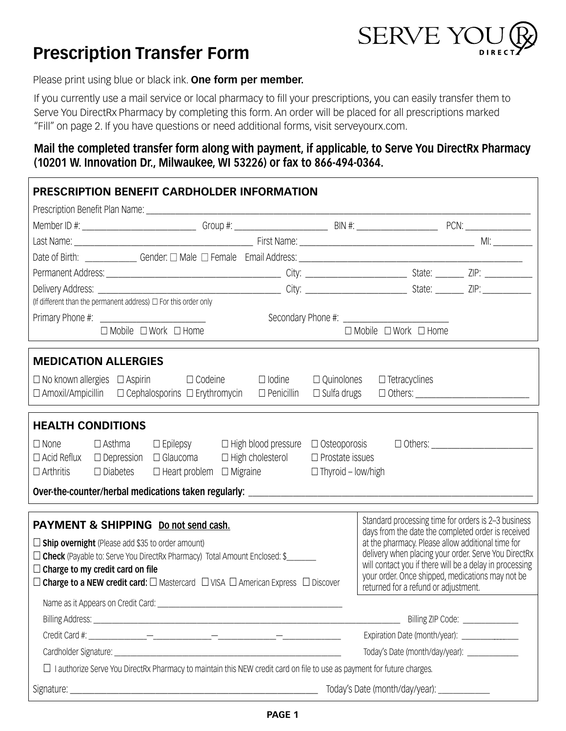## **Prescription Transfer Form**



Please print using blue or black ink. **One form per member.** 

If you currently use a mail service or local pharmacy to fill your prescriptions, you can easily transfer them to Serve You DirectRx Pharmacy by completing this form. An order will be placed for all prescriptions marked "Fill" on page 2. If you have questions or need additional forms, visit [serveyourx.com.](https://serveyourx.com)

## **Mail the completed transfer form along with payment, if applicable, to Serve You DirectRx Pharmacy (10201 W. Innovation Dr., Milwaukee, WI 53226) or fax to 866-494-0364.**

| <b>PRESCRIPTION BENEFIT CARDHOLDER INFORMATION</b>                                                                                                                                                                                                       |                                                                                          |  |  |  |
|----------------------------------------------------------------------------------------------------------------------------------------------------------------------------------------------------------------------------------------------------------|------------------------------------------------------------------------------------------|--|--|--|
|                                                                                                                                                                                                                                                          |                                                                                          |  |  |  |
|                                                                                                                                                                                                                                                          |                                                                                          |  |  |  |
|                                                                                                                                                                                                                                                          |                                                                                          |  |  |  |
|                                                                                                                                                                                                                                                          |                                                                                          |  |  |  |
|                                                                                                                                                                                                                                                          |                                                                                          |  |  |  |
|                                                                                                                                                                                                                                                          |                                                                                          |  |  |  |
| (If different than the permanent address) $\Box$ For this order only                                                                                                                                                                                     |                                                                                          |  |  |  |
|                                                                                                                                                                                                                                                          |                                                                                          |  |  |  |
| $\Box$ Mobile $\Box$ Work $\Box$ Home                                                                                                                                                                                                                    | $\Box$ Mobile $\Box$ Work $\Box$ Home                                                    |  |  |  |
| <b>MEDICATION ALLERGIES</b>                                                                                                                                                                                                                              |                                                                                          |  |  |  |
| $\Box$ lodine<br>$\Box$ No known allergies $\Box$ Aspirin $\Box$ Codeine                                                                                                                                                                                 | $\Box$ Quinolones<br>$\Box$ Tetracyclines                                                |  |  |  |
| $\Box$ Cephalosporins $\Box$ Erythromycin $\Box$ Penicillin<br>$\Box$ Amoxil/Ampicillin                                                                                                                                                                  | $\Box$ Sulfa drugs                                                                       |  |  |  |
| <b>HEALTH CONDITIONS</b>                                                                                                                                                                                                                                 |                                                                                          |  |  |  |
| $\Box$ Asthma<br>$\square$ Epilepsy $\square$ High blood pressure $\square$ Osteoporosis<br>$\Box$ Others:<br>$\Box$ None                                                                                                                                |                                                                                          |  |  |  |
| $\Box$ Acid Reflux $\Box$ Depression $\Box$ Glaucoma<br>$\Box$ High cholesterol                                                                                                                                                                          | $\Box$ Prostate issues                                                                   |  |  |  |
| $\Box$ Heart problem $\Box$ Migraine<br>$\Box$ Arthritis<br>$\Box$ Diabetes<br>$\Box$ Thyroid – low/high                                                                                                                                                 |                                                                                          |  |  |  |
|                                                                                                                                                                                                                                                          |                                                                                          |  |  |  |
| PAYMENT & SHIPPING Do not send cash.                                                                                                                                                                                                                     | Standard processing time for orders is 2-3 business                                      |  |  |  |
| days from the date the completed order is received                                                                                                                                                                                                       |                                                                                          |  |  |  |
| at the pharmacy. Please allow additional time for<br>$\Box$ Ship overnight (Please add \$35 to order amount)<br>delivery when placing your order. Serve You DirectRx<br>$\Box$ Check (Payable to: Serve You DirectRx Pharmacy) Total Amount Enclosed: \$ |                                                                                          |  |  |  |
| will contact you if there will be a delay in processing<br>$\Box$ Charge to my credit card on file                                                                                                                                                       |                                                                                          |  |  |  |
| $\Box$ Charge to a NEW credit card: $\Box$ Mastercard $\Box$ VISA $\Box$ American Express $\Box$ Discover                                                                                                                                                | your order. Once shipped, medications may not be<br>returned for a refund or adjustment. |  |  |  |
|                                                                                                                                                                                                                                                          |                                                                                          |  |  |  |
|                                                                                                                                                                                                                                                          | Billing ZIP Code: ______________                                                         |  |  |  |
| Expiration Date (month/year): [19]                                                                                                                                                                                                                       |                                                                                          |  |  |  |
| Today's Date (month/day/year): ______________                                                                                                                                                                                                            |                                                                                          |  |  |  |
| $\Box$ I authorize Serve You DirectRx Pharmacy to maintain this NEW credit card on file to use as payment for future charges.                                                                                                                            |                                                                                          |  |  |  |
| Today's Date (month/day/year): ______________                                                                                                                                                                                                            |                                                                                          |  |  |  |